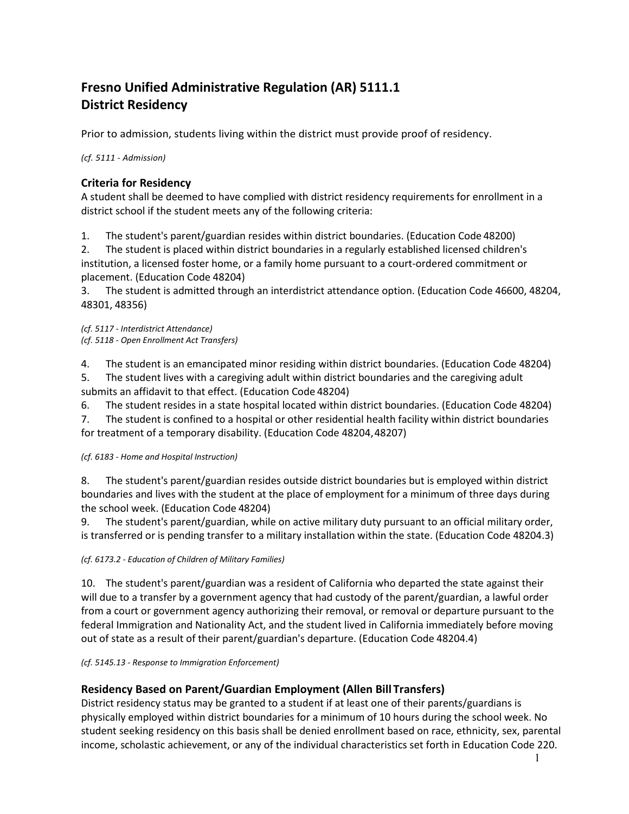# **Fresno Unified Administrative Regulation (AR) 5111.1 District Residency**

Prior to admission, students living within the district must provide proof of residency.

*(cf. 5111 - Admission)*

## **Criteria for Residency**

A student shall be deemed to have complied with district residency requirements for enrollment in a district school if the student meets any of the following criteria:

1. The student's parent/guardian resides within district boundaries. (Education Code 48200)

2. The student is placed within district boundaries in a regularly established licensed children's institution, a licensed foster home, or a family home pursuant to a court-ordered commitment or placement. (Education Code 48204)

3. The student is admitted through an interdistrict attendance option. (Education Code 46600, 48204, 48301, 48356)

*(cf. 5117 - Interdistrict Attendance) (cf. 5118 - Open Enrollment Act Transfers)*

4. The student is an emancipated minor residing within district boundaries. (Education Code 48204)

5. The student lives with a caregiving adult within district boundaries and the caregiving adult submits an affidavit to that effect. (Education Code 48204)

6. The student resides in a state hospital located within district boundaries. (Education Code 48204)

7. The student is confined to a hospital or other residential health facility within district boundaries for treatment of a temporary disability. (Education Code 48204,48207)

*(cf. 6183 - Home and Hospital Instruction)*

8. The student's parent/guardian resides outside district boundaries but is employed within district boundaries and lives with the student at the place of employment for a minimum of three days during the school week. (Education Code 48204)

9. The student's parent/guardian, while on active military duty pursuant to an official military order, is transferred or is pending transfer to a military installation within the state. (Education Code 48204.3)

*(cf. 6173.2 - Education of Children of Military Families)*

10. The student's parent/guardian was a resident of California who departed the state against their will due to a transfer by a government agency that had custody of the parent/guardian, a lawful order from a court or government agency authorizing their removal, or removal or departure pursuant to the federal Immigration and Nationality Act, and the student lived in California immediately before moving out of state as a result of their parent/guardian's departure. (Education Code 48204.4)

*(cf. 5145.13 - Response to Immigration Enforcement)*

## **Residency Based on Parent/Guardian Employment (Allen Bill Transfers)**

District residency status may be granted to a student if at least one of their parents/guardians is physically employed within district boundaries for a minimum of 10 hours during the school week. No student seeking residency on this basis shall be denied enrollment based on race, ethnicity, sex, parental income, scholastic achievement, or any of the individual characteristics set forth in Education Code 220.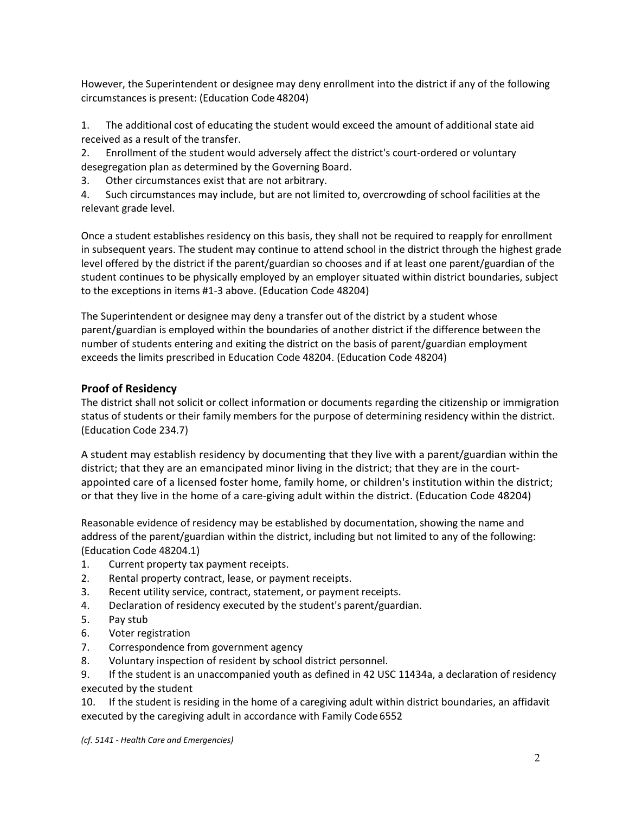However, the Superintendent or designee may deny enrollment into the district if any of the following circumstances is present: (Education Code 48204)

1. The additional cost of educating the student would exceed the amount of additional state aid received as a result of the transfer.

2. Enrollment of the student would adversely affect the district's court-ordered or voluntary desegregation plan as determined by the Governing Board.

3. Other circumstances exist that are not arbitrary.

4. Such circumstances may include, but are not limited to, overcrowding of school facilities at the relevant grade level.

Once a student establishes residency on this basis, they shall not be required to reapply for enrollment in subsequent years. The student may continue to attend school in the district through the highest grade level offered by the district if the parent/guardian so chooses and if at least one parent/guardian of the student continues to be physically employed by an employer situated within district boundaries, subject to the exceptions in items #1-3 above. (Education Code 48204)

The Superintendent or designee may deny a transfer out of the district by a student whose parent/guardian is employed within the boundaries of another district if the difference between the number of students entering and exiting the district on the basis of parent/guardian employment exceeds the limits prescribed in Education Code 48204. (Education Code 48204)

### **Proof of Residency**

The district shall not solicit or collect information or documents regarding the citizenship or immigration status of students or their family members for the purpose of determining residency within the district. (Education Code 234.7)

A student may establish residency by documenting that they live with a parent/guardian within the district; that they are an emancipated minor living in the district; that they are in the courtappointed care of a licensed foster home, family home, or children's institution within the district; or that they live in the home of a care-giving adult within the district. (Education Code 48204)

Reasonable evidence of residency may be established by documentation, showing the name and address of the parent/guardian within the district, including but not limited to any of the following: (Education Code 48204.1)

- 1. Current property tax payment receipts.
- 2. Rental property contract, lease, or payment receipts.
- 3. Recent utility service, contract, statement, or payment receipts.
- 4. Declaration of residency executed by the student's parent/guardian.
- 5. Pay stub
- 6. Voter registration
- 7. Correspondence from government agency
- 8. Voluntary inspection of resident by school district personnel.

9. If the student is an unaccompanied youth as defined in 42 USC 11434a, a declaration of residency executed by the student

10. If the student is residing in the home of a caregiving adult within district boundaries, an affidavit executed by the caregiving adult in accordance with Family Code6552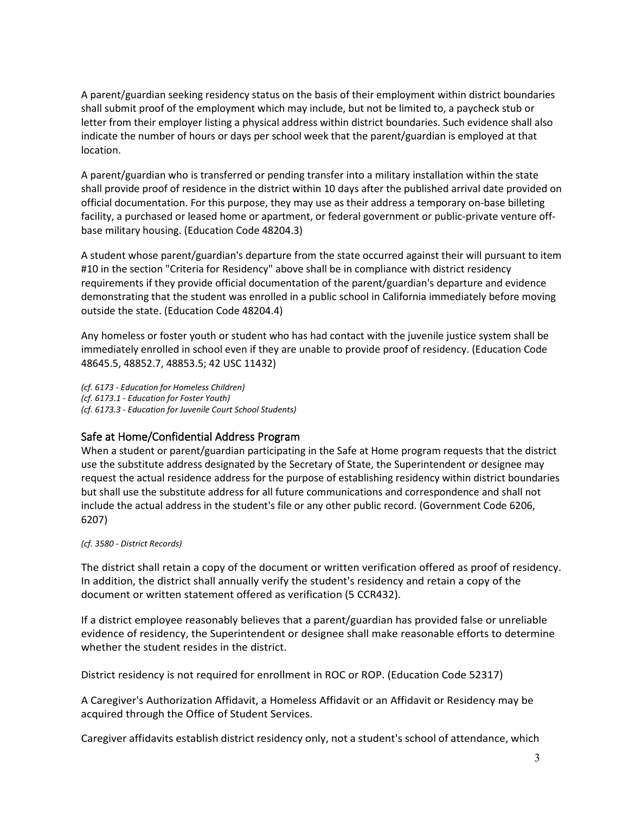A parent/guardian seeking residency status on the basis of their employment within district boundaries shall submit proof of the employment which may include, but not be limited to, a paycheck stub or letter from their employer listing a physical address within district boundaries. Such evidence shall also indicate the number of hours or days per school week that the parent/guardian is employed at that location.

A parent/guardian who is transferred or pending transfer into a military installation within the state shall provide proof of residence in the district within 10 days after the published arrival date provided on official documentation. For this purpose, they may use as their address a temporary on-base billeting facility, a purchased or leased home or apartment, or federal government or public-private venture offbase military housing. (Education Code 48204.3)

A student whose parent/guardian's departure from the state occurred against their will pursuant to item #10 in the section "Criteria for Residency" above shall be in compliance with district residency requirements if they provide official documentation of the parent/guardian's departure and evidence demonstrating that the student was enrolled in a public school in California immediately before moving outside the state. (Education Code 48204.4)

Any homeless or foster youth or student who has had contact with the juvenile justice system shall be immediately enrolled in school even if they are unable to provide proof of residency. (Education Code 48645.5, 48852.7, 48853.5; 42 USC 11432)

*(cf. 6173 - Education for Homeless Children) (cf. 6173.1 - Education for Foster Youth) (cf. 6173.3 - Education for Juvenile Court School Students)*

## Safe at Home/Confidential Address Program

When a student or parent/guardian participating in the Safe at Home program requests that the district use the substitute address designated by the Secretary of State, the Superintendent or designee may request the actual residence address for the purpose of establishing residency within district boundaries but shall use the substitute address for all future communications and correspondence and shall not include the actual address in the student's file or any other public record. (Government Code 6206, 6207)

#### *(cf. 3580 - District Records)*

The district shall retain a copy of the document or written verification offered as proof of residency. In addition, the district shall annually verify the student's residency and retain a copy of the document or written statement offered as verification (5 CCR432).

If a district employee reasonably believes that a parent/guardian has provided false or unreliable evidence of residency, the Superintendent or designee shall make reasonable efforts to determine whether the student resides in the district.

District residency is not required for enrollment in ROC or ROP. (Education Code 52317)

A Caregiver's Authorization Affidavit, a Homeless Affidavit or an Affidavit or Residency may be acquired through the Office of Student Services.

Caregiver affidavits establish district residency only, not a student's school of attendance, which